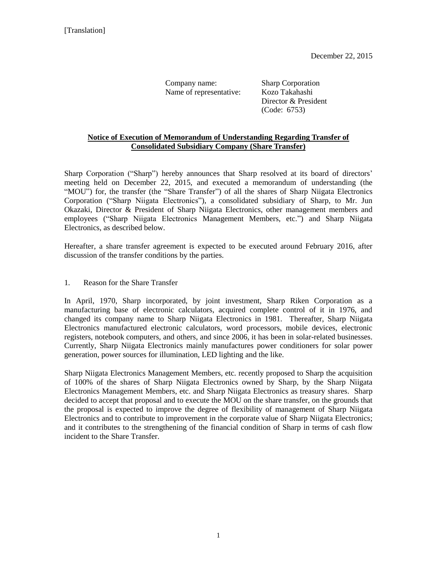Company name: Sharp Corporation Name of representative: Kozo Takahashi

Director & President (Code: 6753)

## **Notice of Execution of Memorandum of Understanding Regarding Transfer of Consolidated Subsidiary Company (Share Transfer)**

Sharp Corporation ("Sharp") hereby announces that Sharp resolved at its board of directors' meeting held on December 22, 2015, and executed a memorandum of understanding (the "MOU") for, the transfer (the "Share Transfer") of all the shares of Sharp Niigata Electronics Corporation ("Sharp Niigata Electronics"), a consolidated subsidiary of Sharp, to Mr. Jun Okazaki, Director & President of Sharp Niigata Electronics, other management members and employees ("Sharp Niigata Electronics Management Members, etc.") and Sharp Niigata Electronics, as described below.

Hereafter, a share transfer agreement is expected to be executed around February 2016, after discussion of the transfer conditions by the parties.

## 1. Reason for the Share Transfer

In April, 1970, Sharp incorporated, by joint investment, Sharp Riken Corporation as a manufacturing base of electronic calculators, acquired complete control of it in 1976, and changed its company name to Sharp Niigata Electronics in 1981. Thereafter, Sharp Niigata Electronics manufactured electronic calculators, word processors, mobile devices, electronic registers, notebook computers, and others, and since 2006, it has been in solar-related businesses. Currently, Sharp Niigata Electronics mainly manufactures power conditioners for solar power generation, power sources for illumination, LED lighting and the like.

Sharp Niigata Electronics Management Members, etc. recently proposed to Sharp the acquisition of 100% of the shares of Sharp Niigata Electronics owned by Sharp, by the Sharp Niigata Electronics Management Members, etc. and Sharp Niigata Electronics as treasury shares. Sharp decided to accept that proposal and to execute the MOU on the share transfer, on the grounds that the proposal is expected to improve the degree of flexibility of management of Sharp Niigata Electronics and to contribute to improvement in the corporate value of Sharp Niigata Electronics; and it contributes to the strengthening of the financial condition of Sharp in terms of cash flow incident to the Share Transfer.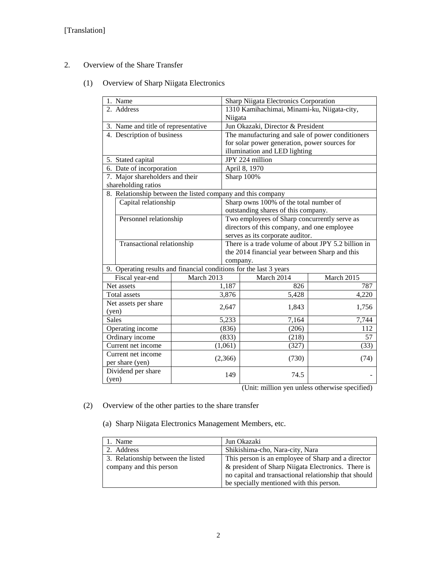- 2. Overview of the Share Transfer
	- (1) Overview of Sharp Niigata Electronics

| 1. Name                             |                                                                    |                                             | Sharp Niigata Electronics Corporation               |                                                  |            |
|-------------------------------------|--------------------------------------------------------------------|---------------------------------------------|-----------------------------------------------------|--------------------------------------------------|------------|
| 2. Address                          |                                                                    | 1310 Kamihachimai, Minami-ku, Niigata-city, |                                                     |                                                  |            |
|                                     |                                                                    | Niigata                                     |                                                     |                                                  |            |
| 3. Name and title of representative |                                                                    |                                             | Jun Okazaki, Director & President                   |                                                  |            |
|                                     | 4. Description of business                                         |                                             |                                                     | The manufacturing and sale of power conditioners |            |
|                                     |                                                                    |                                             | for solar power generation, power sources for       |                                                  |            |
|                                     |                                                                    |                                             | illumination and LED lighting                       |                                                  |            |
| 5. Stated capital                   |                                                                    | JPY 224 million                             |                                                     |                                                  |            |
|                                     | 6. Date of incorporation                                           |                                             | April 8, 1970                                       |                                                  |            |
| 7. Major shareholders and their     |                                                                    | Sharp 100%                                  |                                                     |                                                  |            |
|                                     | shareholding ratios                                                |                                             |                                                     |                                                  |            |
|                                     | 8. Relationship between the listed company and this company        |                                             |                                                     |                                                  |            |
|                                     | Capital relationship                                               |                                             | Sharp owns 100% of the total number of              |                                                  |            |
|                                     |                                                                    |                                             | outstanding shares of this company.                 |                                                  |            |
|                                     | Personnel relationship                                             |                                             | Two employees of Sharp concurrently serve as        |                                                  |            |
|                                     |                                                                    |                                             | directors of this company, and one employee         |                                                  |            |
|                                     |                                                                    |                                             | serves as its corporate auditor.                    |                                                  |            |
|                                     | Transactional relationship                                         |                                             | There is a trade volume of about JPY 5.2 billion in |                                                  |            |
|                                     |                                                                    |                                             |                                                     | the 2014 financial year between Sharp and this   |            |
|                                     |                                                                    |                                             | company.                                            |                                                  |            |
|                                     | 9. Operating results and financial conditions for the last 3 years |                                             |                                                     |                                                  |            |
|                                     | Fiscal year-end                                                    | March 2013                                  |                                                     |                                                  |            |
| Net assets                          |                                                                    |                                             |                                                     | March 2014                                       | March 2015 |
|                                     |                                                                    |                                             | 1,187                                               | 826                                              | 787        |
|                                     | Total assets                                                       |                                             | 3,876                                               | 5,428                                            | 4,220      |
|                                     | Net assets per share                                               |                                             |                                                     |                                                  |            |
| (yen)                               |                                                                    |                                             | 2,647                                               | 1,843                                            | 1,756      |
| <b>Sales</b>                        |                                                                    |                                             | 5,233                                               | 7,164                                            | 7,744      |
|                                     | Operating income                                                   |                                             | (836)                                               | (206)                                            | 112        |
|                                     | Ordinary income                                                    |                                             | (833)                                               | (218)                                            | 57         |
|                                     | Current net income                                                 |                                             | (1,061)                                             | (327)                                            | (33)       |
|                                     | Current net income                                                 |                                             |                                                     |                                                  |            |
|                                     | per share (yen)                                                    |                                             | (2,366)                                             | (730)                                            | (74)       |
|                                     | Dividend per share                                                 |                                             | 149                                                 | 74.5                                             |            |

(Unit: million yen unless otherwise specified)

- (2) Overview of the other parties to the share transfer
	- (a) Sharp Niigata Electronics Management Members, etc.

| 1. Name                            | Jun Okazaki                                           |
|------------------------------------|-------------------------------------------------------|
| 2. Address                         | Shikishima-cho, Nara-city, Nara                       |
| 3. Relationship between the listed | This person is an employee of Sharp and a director    |
| company and this person            | & president of Sharp Niigata Electronics. There is    |
|                                    | no capital and transactional relationship that should |
|                                    | be specially mentioned with this person.              |